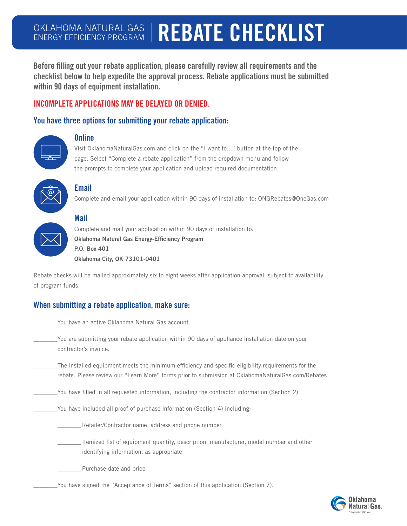# OKLAHOMA NATURAL GAS<br>ENERGY-EFFICIENCY PROGRAM **REBATE CHECKLIST**

Before filling out your rebate application, please carefully review all requirements and the checklist below to help expedite the approval process. Rebate applications must be submitted within 90 days of equipment installation.

## INCOMPLETE APPLICATIONS MAY BE DELAYED OR DENIED.

### You have three options for submitting your rebate application:



#### **Online**

Visit OklahomaNaturalGas.com and click on the "I want to..." button at the top of the page. Select "Complete a rebate application" from the dropdown menu and follow the prompts to complete your application and upload required documentation.



## Email

Complete and email your application within 90 days of installation to: ONGRebates@OneGas.com



## Mail

Complete and mail your application within 90 days of installation to: Oklahoma Natural Gas Energy-Efficiency Program P.O. Box 401 Oklahoma City, OK 73101-0401

Rebate checks will be mailed approximately six to eight weeks after application approval, subject to availability of program funds.

## When submitting a rebate application, make sure:

| You have an active Oklahoma Natural Gas account.                                                                          |
|---------------------------------------------------------------------------------------------------------------------------|
| You are submitting your rebate application within 90 days of appliance installation date on your<br>contractor's invoice. |
| The installed equipment meets the minimum efficiency and specific eligibility requirements for the                        |
| rebate. Please review our "Learn More" forms prior to submission at OklahomaNaturalGas.com/Rebates.                       |

 You have filled in all requested information, including the contractor information (Section 2).

 You have included all proof of purchase information (Section 4) including:

\_\_\_\_\_\_\_\_Retailer/Contractor name, address and phone number

Itemized list of equipment quantity, description, manufacturer, model number and other identifying information, as appropriate

\_\_\_\_\_\_\_\_Purchase date and price

 You have signed the "Acceptance of Terms" section of this application (Section 7).

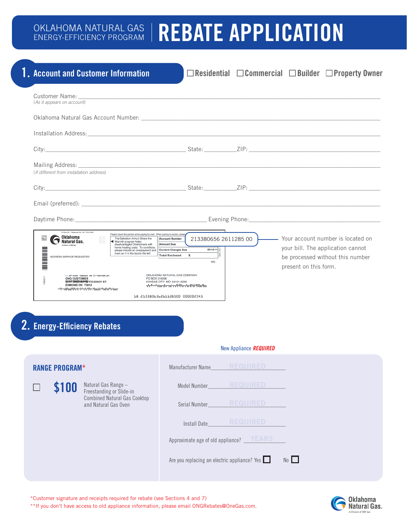# OKLAHOMA NATURAL GAS | REBATE APPLICATION

|                                                                                                                                                                               | <b>1.</b> Account and Customer Information                                                                                                                                                                                                                                                                                                                                                                                         |                                                                                                                                                                                                                                                                        |                        |                       | $\Box$ Residential $\Box$ Commercial $\Box$ Builder $\Box$ Property Owner                                    |
|-------------------------------------------------------------------------------------------------------------------------------------------------------------------------------|------------------------------------------------------------------------------------------------------------------------------------------------------------------------------------------------------------------------------------------------------------------------------------------------------------------------------------------------------------------------------------------------------------------------------------|------------------------------------------------------------------------------------------------------------------------------------------------------------------------------------------------------------------------------------------------------------------------|------------------------|-----------------------|--------------------------------------------------------------------------------------------------------------|
| (As it appears on account)                                                                                                                                                    | Customer Name: Name: Name: Name: Name: Name: Name: Name: Name: Name: Name: Name: Name: Name: Name: N                                                                                                                                                                                                                                                                                                                               |                                                                                                                                                                                                                                                                        |                        |                       |                                                                                                              |
|                                                                                                                                                                               |                                                                                                                                                                                                                                                                                                                                                                                                                                    |                                                                                                                                                                                                                                                                        |                        |                       |                                                                                                              |
|                                                                                                                                                                               |                                                                                                                                                                                                                                                                                                                                                                                                                                    |                                                                                                                                                                                                                                                                        |                        |                       |                                                                                                              |
|                                                                                                                                                                               |                                                                                                                                                                                                                                                                                                                                                                                                                                    |                                                                                                                                                                                                                                                                        |                        |                       |                                                                                                              |
| (If different from installation address)                                                                                                                                      |                                                                                                                                                                                                                                                                                                                                                                                                                                    |                                                                                                                                                                                                                                                                        |                        |                       |                                                                                                              |
|                                                                                                                                                                               |                                                                                                                                                                                                                                                                                                                                                                                                                                    |                                                                                                                                                                                                                                                                        |                        |                       |                                                                                                              |
|                                                                                                                                                                               |                                                                                                                                                                                                                                                                                                                                                                                                                                    |                                                                                                                                                                                                                                                                        |                        |                       |                                                                                                              |
|                                                                                                                                                                               |                                                                                                                                                                                                                                                                                                                                                                                                                                    |                                                                                                                                                                                                                                                                        |                        |                       |                                                                                                              |
| PO Box 401 - Oklahoma City OK 73101-0401<br>X<br>Natural Gas.<br>A Division of ONE Gas<br><u>Manual Color</u><br>ADDRESS SERVICE REQUESTED<br>ONG CUSTOMER<br>EDMOND OK 73012 | Please return this portion when paying by mail. When paying in person, please<br>The Salvation Army's Share the<br>Warmth program helps<br>disadvantaged Oklahomans with<br>home heating costs. To contribute,<br>please include an overpayment and<br>mark an X in the box to the left.<br>11 SP 0.440 '0000001 ## S1 YNNYNN 241<br>PO BOX 219296<br><b><i>CUSTOMER/SAMEFFICIENCY ST</i></b><br>ակավիտիկի վակական կարկական երերը։ | <b>Account Number</b><br>Amount Due<br>$09-15-11$<br><b>Current Charges Due</b><br><b>Total Enclosed</b><br>s<br>MG<br>OKLAHOMA NATURAL GAS COMPANY<br>KANSAS CITY MO 64121-9296<br>գե <sup>ղ</sup> ականությունը կերերի կազմական կա<br>18 213380656261128500 000002545 | 213380656 2611285 00   | present on this form. | - Your account number is located on<br>your bill. The application cannot<br>be processed without this number |
| <b>2. Energy-Efficiency Rebates</b>                                                                                                                                           |                                                                                                                                                                                                                                                                                                                                                                                                                                    |                                                                                                                                                                                                                                                                        |                        |                       |                                                                                                              |
|                                                                                                                                                                               |                                                                                                                                                                                                                                                                                                                                                                                                                                    |                                                                                                                                                                                                                                                                        | New Appliance REQUIRED |                       |                                                                                                              |
| <b>RANGE PROGRAM*</b>                                                                                                                                                         |                                                                                                                                                                                                                                                                                                                                                                                                                                    | Manufacturer Name                                                                                                                                                                                                                                                      | <b>REQUIRED</b>        |                       |                                                                                                              |
| \$100                                                                                                                                                                         | Natural Gas Range -<br>Freestanding or Slide-in                                                                                                                                                                                                                                                                                                                                                                                    | Model Number                                                                                                                                                                                                                                                           | <b>REQUIRED</b>        |                       |                                                                                                              |
|                                                                                                                                                                               | <b>Combined Natural Gas Cooktop</b><br>and Natural Gas Oven                                                                                                                                                                                                                                                                                                                                                                        | Serial Number                                                                                                                                                                                                                                                          | <b>REQUIRED</b>        |                       |                                                                                                              |
|                                                                                                                                                                               |                                                                                                                                                                                                                                                                                                                                                                                                                                    | Install Date                                                                                                                                                                                                                                                           | <b>REQUIRED</b>        |                       |                                                                                                              |

Approximate age of old appliance? \_\_\_\_\_\_\_\_\_\_\_\_\_\_ YEARS

Are you replacing an electric appliance? Yes  $\Box$  No  $\Box$ 

\*\*If you don't have access to old appliance information, please email ONGRebates@OneGas.com.

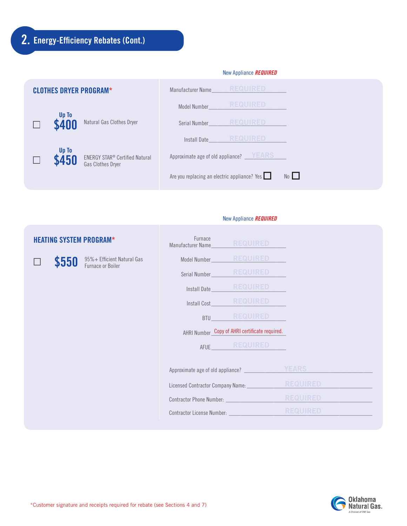# 2. Energy-Efficiency Rebates (Cont.)

 $\Box$ 

|                               | New Appliance <b>REQUIRED</b> |                                                                       |                                                                    |  |  |
|-------------------------------|-------------------------------|-----------------------------------------------------------------------|--------------------------------------------------------------------|--|--|
| <b>CLOTHES DRYER PROGRAM*</b> |                               |                                                                       | <b>REQUIRED</b><br>Manufacturer Name                               |  |  |
|                               |                               |                                                                       | <b>REQUIRED</b><br>Model Number                                    |  |  |
|                               | Up To<br>\$400                | Natural Gas Clothes Dryer                                             | Serial Number                                                      |  |  |
|                               |                               |                                                                       | <b>REQUIRED</b><br>Install Date                                    |  |  |
|                               | Up To<br>\$450                | <b>ENERGY STAR<sup>®</sup> Certified Natural</b><br>Gas Clothes Dryer | Approximate age of old appliance? VEARS                            |  |  |
|                               |                               |                                                                       | Are you replacing an electric appliance? Yes $\Box$<br>$No$ $\Box$ |  |  |

#### New Appliance *REQUIRED*

# HEATING SYSTEM PROGRAM\*  $$550$   $^{95\%+}$  Efficient Natural Gas<br>Furnace or Boiler Furnace Manufacturer Name Model Number\_\_\_\_\_\_\_\_\_\_\_\_\_\_\_\_\_\_\_\_\_\_\_\_\_ REQUIRED Serial Number\_ Install Date\_\_\_\_\_\_\_\_\_\_\_\_\_\_\_\_\_\_\_\_\_\_\_\_\_ Install Cost BTU\_\_\_\_\_\_\_\_\_\_\_\_\_\_\_\_\_\_\_\_\_\_\_\_\_ REQUIRED AHRI Number\_Copy of AHRI certificate required. AFUE\_\_\_\_\_\_\_\_\_\_\_\_\_\_\_\_\_\_\_\_\_\_\_\_\_ REQUIRED Approximate age of old appliance? \_\_\_\_\_\_\_\_\_\_\_\_\_\_\_\_\_\_\_\_\_\_\_\_\_\_\_\_\_\_\_\_\_\_\_\_\_\_\_\_\_\_\_ YEARS Licensed Contractor Company Name: Contractor Phone Number: Contractor License Number: \_

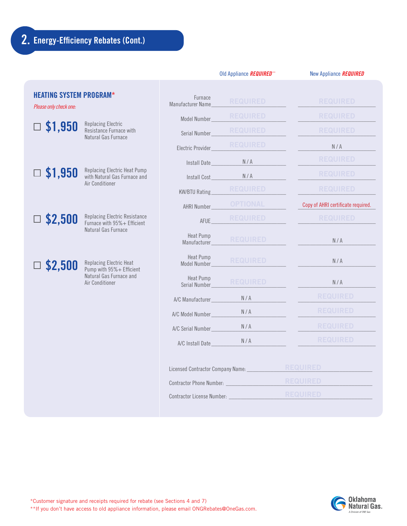|                                                          |                                                                                             |                                                                            | Old Appliance <b>REQUIRED</b> * | New Appliance REQUIRED             |
|----------------------------------------------------------|---------------------------------------------------------------------------------------------|----------------------------------------------------------------------------|---------------------------------|------------------------------------|
| <b>HEATING SYSTEM PROGRAM*</b><br>Please only check one: |                                                                                             | Furnace<br>Manufacturer Name                                               | <b>REQUIRED</b>                 | <b>REQUIRED</b>                    |
|                                                          | <b>Replacing Electric</b><br>Resistance Furnace with<br>Natural Gas Furnace                 | Model Number                                                               | <b>REQUIRED</b>                 | <b>REQUIRED</b>                    |
| \$1,950                                                  |                                                                                             | Serial Number_                                                             | <b>REQUIRED</b>                 | <b>REQUIRED</b>                    |
|                                                          |                                                                                             | Electric Provider_                                                         | <b>REQUIRED</b>                 | N/A                                |
|                                                          |                                                                                             | Install Date                                                               | N/A                             | <b>REQUIRED</b>                    |
| $\Box$ \$1,950                                           | Replacing Electric Heat Pump<br>with Natural Gas Furnace and                                | Install Cost                                                               | N/A                             | <b>REQUIRED</b>                    |
|                                                          | Air Conditioner                                                                             | <b>KW/BTU Rating</b>                                                       | <b>REQUIRED</b>                 | <b>REQUIRED</b>                    |
|                                                          |                                                                                             | AHRI Number                                                                | <b>OPTIONAL</b>                 | Copy of AHRI certificate required. |
| \$2,500                                                  | <b>Replacing Electric Resistance</b><br>Furnace with 95% + Efficient<br>Natural Gas Furnace | AFUE                                                                       | <b>REQUIRED</b>                 | <b>REQUIRED</b>                    |
|                                                          |                                                                                             | Heat Pump<br>Manufacturer                                                  | <b>REQUIRED</b>                 | N/A                                |
| \$2,500                                                  | Replacing Electric Heat<br>Pump with 95% + Efficient                                        | Heat Pump<br>Model Number                                                  | <b>REQUIRED</b>                 | N/A                                |
|                                                          | Natural Gas Furnace and<br>Air Conditioner                                                  | Heat Pump<br>Serial Number_                                                | <b>REQUIRED</b>                 | N/A                                |
|                                                          |                                                                                             | A/C Manufacturer                                                           | N/A                             | <b>REQUIRED</b>                    |
|                                                          |                                                                                             | A/C Model Number                                                           | N/A                             | <b>REQUIRED</b>                    |
|                                                          |                                                                                             | A/C Serial Number_                                                         | N/A                             | <b>REQUIRED</b>                    |
|                                                          |                                                                                             | A/C Install Date                                                           | N/A                             | <b>REQUIRED</b>                    |
|                                                          |                                                                                             | Licensed Contractor Company Name: ____________<br>Contractor Phone Number: |                                 | <b>REQUIRED</b>                    |
|                                                          |                                                                                             |                                                                            |                                 | <b>REQUIRED</b>                    |
|                                                          |                                                                                             |                                                                            |                                 | <b>REQUIRED</b>                    |
|                                                          |                                                                                             |                                                                            |                                 |                                    |

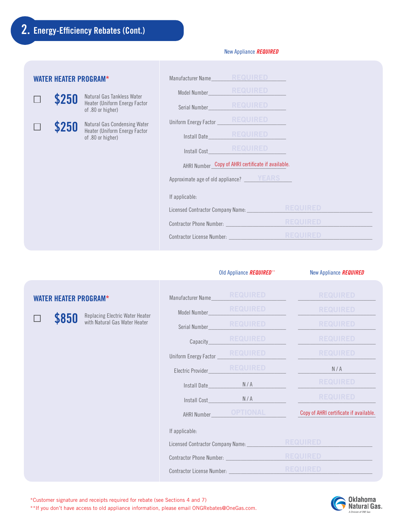WATER HEATER PROGRAM\*

П

 $\Box$ 

# \$250 Natural Gas Tankless Water<br>Heater (Uniform Energy Factor of .80 or higher) \$250 Natural Gas Condensing Water<br>Heater (Uniform Energy Factor of .80 or higher) Approximate age of old appliance?  $\_\_\_\_\$ Manufacturer Name\_\_\_\_\_\_\_\_\_\_\_\_\_\_\_\_\_\_\_\_\_\_\_\_\_ Model Number\_\_\_\_\_\_\_\_\_\_\_\_\_\_\_\_\_\_\_\_\_\_\_\_\_\_ Serial Number\_ Uniform Energy Factor Install Date Install Cost\_\_\_\_\_\_\_\_\_\_\_\_\_\_\_\_\_\_\_\_\_\_\_\_\_\_ AHRI Number\_Copy of AHRI certificate if available. If applicable: Licensed Contractor Company Name: \_\_\_\_\_\_\_\_\_\_\_\_\_\_\_\_\_\_\_\_\_\_\_\_\_\_\_\_\_\_\_\_\_\_\_\_\_\_\_\_\_\_ Contractor Phone Number: \_ Contractor License Number: \_

|       |                                                                  |               |                                          | Old Appliance REQUIRED** | New Appliance REQUIRED                 |
|-------|------------------------------------------------------------------|---------------|------------------------------------------|--------------------------|----------------------------------------|
|       | <b>WATER HEATER PROGRAM*</b>                                     |               | Manufacturer Name                        | <b>REQUIRED</b>          | <b>REQUIRED</b>                        |
|       |                                                                  |               | Model Number                             | <b>REQUIRED</b>          | <b>REQUIRED</b>                        |
| \$850 | Replacing Electric Water Heater<br>with Natural Gas Water Heater | Serial Number | <b>REQUIRED</b>                          | <b>REQUIRED</b>          |                                        |
|       |                                                                  |               | Capacity                                 | <b>REQUIRED</b>          | <b>REQUIRED</b>                        |
|       |                                                                  |               | Uniform Energy Factor                    | <b>REQUIRED</b>          | <b>REQUIRED</b>                        |
|       |                                                                  |               | Electric Provider                        | <b>REQUIRED</b>          | N/A                                    |
|       |                                                                  |               | Install Date                             | N/A                      | <b>REQUIRED</b>                        |
|       |                                                                  |               | Install Cost_                            | N/A                      | <b>REQUIRED</b>                        |
|       |                                                                  |               | AHRI Number_                             | <b>OPTIONAL</b>          | Copy of AHRI certificate if available. |
|       |                                                                  |               | If applicable:                           |                          |                                        |
|       |                                                                  |               | Licensed Contractor Company Name:        |                          | <b>REQUIRED</b>                        |
|       |                                                                  |               | Contractor Phone Number: _______________ |                          | <b>REQUIRED</b>                        |
|       |                                                                  |               | Contractor License Number:               |                          | <b>REQUIRED</b>                        |
|       |                                                                  |               |                                          |                          |                                        |

#### New Appliance *REQUIRED*

\*Customer signature and receipts required for rebate (see Sections 4 and 7) \*\*If you don't have access to old appliance information, please email ONGRebates@OneGas.com.

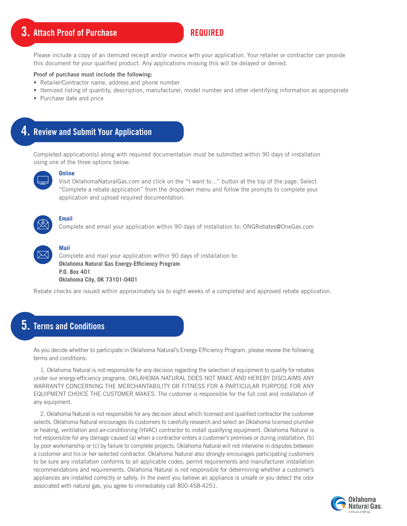# 3. Attach Proof of Purchase

## REQUIRED

Please include a copy of an itemized receipt and/or invoice with your application. Your retailer or contractor can provide this document for your qualified product. Any applications missing this will be delayed or denied.

#### Proof of purchase must include the following:

- Retailer/Contractor name, address and phone number
- Itemized listing of quantity, description, manufacturer, model number and other identifying information as appropriate
- Purchase date and price

# 4. Review and Submit Your Application

Completed application(s) along with required documentation must be submitted within 90 days of installation using one of the three options below:



#### **Online**

Visit OklahomaNaturalGas.com and click on the "I want to..." button at the top of the page. Select "Complete a rebate application" from the dropdown menu and follow the prompts to complete your application and upload required documentation.



#### **Email**

Complete and email your application within 90 days of installation to: ONGRebates@OneGas.com

# **Mail**

Complete and mail your application within 90 days of installation to: **Oklahoma Natural Gas Energy-Efficiency Program P.O. Box 401 Oklahoma City, OK 73101-0401**

Rebate checks are issued within approximately six to eight weeks of a completed and approved rebate application.

# 5. Terms and Conditions

As you decide whether to participate in Oklahoma Natural's Energy-Efficiency Program, please review the following terms and conditions:

1. Oklahoma Natural is not responsible for any decision regarding the selection of equipment to qualify for rebates under our energy-efficiency programs. OKLAHOMA NATURAL DOES NOT MAKE AND HEREBY DISCLAIMS ANY WARRANTY CONCERNING THE MERCHANTABILITY OR FITNESS FOR A PARTICULAR PURPOSE FOR ANY EQUIPMENT CHOICE THE CUSTOMER MAKES. The customer is responsible for the full cost and installation of any equipment.

2. Oklahoma Natural is not responsible for any decision about which licensed and qualified contractor the customer selects. Oklahoma Natural encourages its customers to carefully research and select an Oklahoma licensed plumber or heating, ventilation and air-conditioning (HVAC) contractor to install qualifying equipment. Oklahoma Natural is not responsible for any damage caused (a) when a contractor enters a customer's premises or during installation, (b) by poor workmanship or (c) by failure to complete projects. Oklahoma Natural will not intervene in disputes between a customer and his or her selected contractor. Oklahoma Natural also strongly encourages participating customers to be sure any installation conforms to all applicable codes, permit requirements and manufacturer installation recommendations and requirements. Oklahoma Natural is not responsible for determining whether a customer's appliances are installed correctly or safely. In the event you believe an appliance is unsafe or you detect the odor associated with natural gas, you agree to immediately call 800-458-4251.